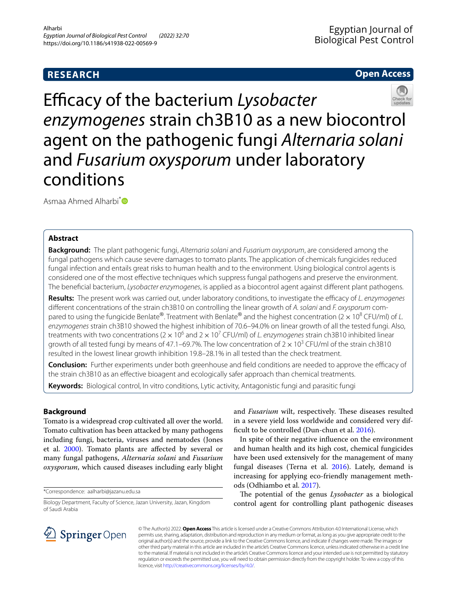# **RESEARCH**

## **Open Access**



Efficacy of the bacterium Lysobacter *enzymogenes* strain ch3B10 as a new biocontrol agent on the pathogenic fungi *Alternaria solani* and *Fusarium oxysporum* under laboratory conditions

Asmaa Ahmed Alharbi<sup>\*</sup>

## **Abstract**

**Background:** The plant pathogenic fungi, *Alternaria solani* and *Fusarium oxysporum*, are considered among the fungal pathogens which cause severe damages to tomato plants. The application of chemicals fungicides reduced fungal infection and entails great risks to human health and to the environment. Using biological control agents is considered one of the most efective techniques which suppress fungal pathogens and preserve the environment. The benefcial bacterium, *Lysobacter enzymogenes*, is applied as a biocontrol agent against diferent plant pathogens.

**Results:** The present work was carried out, under laboratory conditions, to investigate the efficacy of *L. enzymogenes* diferent concentrations of the strain ch3B10 on controlling the linear growth of *A. solani* and *F. oxysporum* compared to using the fungicide Benlate®. Treatment with Benlate® and the highest concentration (2× 108 CFU/ml) of *L. enzymogenes* strain ch3B10 showed the highest inhibition of 70.6–94.0% on linear growth of all the tested fungi. Also, treatments with two concentrations (2 × 10<sup>6</sup> and 2 × 10<sup>7</sup> CFU/ml) of *L. enzymogenes* strain ch3B10 inhibited linear growth of all tested fungi by means of 47.1–69.7%. The low concentration of  $2 \times 10^3$  CFU/ml of the strain ch3B10 resulted in the lowest linear growth inhibition 19.8–28.1% in all tested than the check treatment.

**Conclusion:** Further experiments under both greenhouse and field conditions are needed to approve the efficacy of the strain ch3B10 as an efective bioagent and ecologically safer approach than chemical treatments.

**Keywords:** Biological control, In vitro conditions, Lytic activity, Antagonistic fungi and parasitic fungi

### **Background**

Tomato is a widespread crop cultivated all over the world. Tomato cultivation has been attacked by many pathogens including fungi, bacteria, viruses and nematodes (Jones et al. [2000](#page-3-0)). Tomato plants are afected by several or many fungal pathogens, *Alternaria solani* and *Fusarium oxysporum*, which caused diseases including early blight

\*Correspondence: aalharbi@jazanu.edu.sa

and *Fusarium* wilt, respectively. These diseases resulted in a severe yield loss worldwide and considered very dif-ficult to be controlled (Dun-chun et al. [2016\)](#page-3-1).

In spite of their negative infuence on the environment and human health and its high cost, chemical fungicides have been used extensively for the management of many fungal diseases (Terna et al. [2016](#page-3-2)). Lately, demand is increasing for applying eco-friendly management methods (Odhiambo et al. [2017\)](#page-3-3).

The potential of the genus *Lysobacter* as a biological control agent for controlling plant pathogenic diseases



© The Author(s) 2022. **Open Access** This article is licensed under a Creative Commons Attribution 4.0 International License, which permits use, sharing, adaptation, distribution and reproduction in any medium or format, as long as you give appropriate credit to the original author(s) and the source, provide a link to the Creative Commons licence, and indicate if changes were made. The images or other third party material in this article are included in the article's Creative Commons licence, unless indicated otherwise in a credit line to the material. If material is not included in the article's Creative Commons licence and your intended use is not permitted by statutory regulation or exceeds the permitted use, you will need to obtain permission directly from the copyright holder. To view a copy of this licence, visit [http://creativecommons.org/licenses/by/4.0/.](http://creativecommons.org/licenses/by/4.0/)

Biology Department, Faculty of Science, Jazan University, Jazan, Kingdom of Saudi Arabia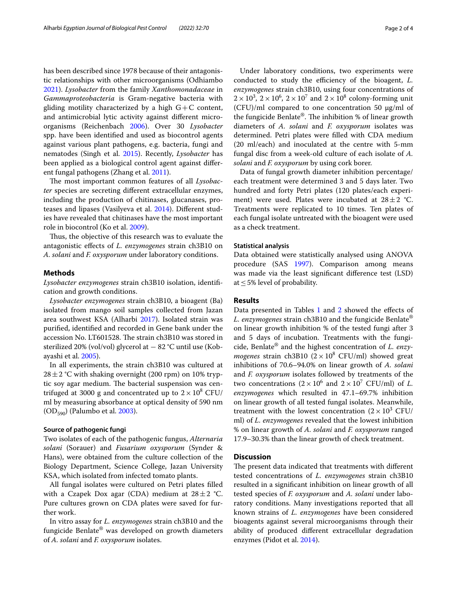has been described since 1978 because of their antagonistic relationships with other microorganisms (Odhiambo [2021](#page-3-4)). *Lysobacter* from the family *Xanthomonadaceae* in *Gammaproteobacteria* is Gram-negative bacteria with gliding motility characterized by a high  $G+C$  content, and antimicrobial lytic activity against diferent microorganisms (Reichenbach [2006](#page-3-5)). Over 30 *Lysobacter* spp. have been identifed and used as biocontrol agents against various plant pathogens, e.g. bacteria, fungi and nematodes (Singh et al. [2015](#page-3-6)). Recently, *Lysobacter* has been applied as a biological control agent against diferent fungal pathogens (Zhang et al. [2011](#page-3-7)).

The most important common features of all *Lysobacter* species are secreting diferent extracellular enzymes, including the production of chitinases, glucanases, proteases and lipases (Vasilyeva et al. [2014\)](#page-3-8). Diferent studies have revealed that chitinases have the most important role in biocontrol (Ko et al. [2009\)](#page-3-9).

Thus, the objective of this research was to evaluate the antagonistic efects of *L. enzymogenes* strain ch3B10 on *A. solani* and *F. oxysporum* under laboratory conditions.

#### **Methods**

*Lysobacter enzymogenes* strain ch3B10 isolation, identifcation and growth conditions.

*Lysobacter enzymogenes* strain ch3B10, a bioagent (Ba) isolated from mango soil samples collected from Jazan area southwest KSA (Alharbi [2017\)](#page-2-0). Isolated strain was purifed, identifed and recorded in Gene bank under the accession No. LT601528. The strain ch3B10 was stored in sterilized 20% (vol/vol) glycerol at − 82 °C until use (Kobayashi et al. [2005\)](#page-3-10).

In all experiments, the strain ch3B10 was cultured at  $28 \pm 2$  °C with shaking overnight (200 rpm) on 10% tryptic soy agar medium. The bacterial suspension was centrifuged at 3000 g and concentrated up to  $2 \times 10^8$  CFU/ ml by measuring absorbance at optical density of 590 nm  $(OD_{590})$  (Palumbo et al. [2003\)](#page-3-11).

#### **Source of pathogenic fungi**

Two isolates of each of the pathogenic fungus, *Alternaria solani* (Sorauer) and *Fusarium oxysporum* (Synder & Hans), were obtained from the culture collection of the Biology Department, Science College, Jazan University KSA, which isolated from infected tomato plants.

All fungal isolates were cultured on Petri plates flled with a Czapek Dox agar (CDA) medium at  $28 \pm 2$  °C. Pure cultures grown on CDA plates were saved for further work.

In vitro assay for *L. enzymogenes* strain ch3B10 and the fungicide Benlate® was developed on growth diameters of *A. solani* and *F. oxysporum* isolates.

Under laboratory conditions, two experiments were conducted to study the efficiency of the bioagent, *L*. *enzymogenes* strain ch3B10, using four concentrations of  $2 \times 10^3$ ,  $2 \times 10^6$ ,  $2 \times 10^7$  and  $2 \times 10^8$  colony-forming unit (CFU)/ml compared to one concentration 50 μg/ml of the fungicide Benlate®. The inhibition % of linear growth diameters of *A. solani* and *F. oxysporum* isolates was determined. Petri plates were flled with CDA medium (20 ml/each) and inoculated at the centre with 5-mm fungal disc from a week-old culture of each isolate of *A. solani* and *F. oxysporum* by using cork borer.

Data of fungal growth diameter inhibition percentage/ each treatment were determined 3 and 5 days later. Two hundred and forty Petri plates (120 plates/each experiment) were used. Plates were incubated at  $28 \pm 2$  °C. Treatments were replicated to 10 times. Ten plates of each fungal isolate untreated with the bioagent were used as a check treatment.

#### **Statistical analysis**

Data obtained were statistically analysed using ANOVA procedure (SAS [1997](#page-3-12)). Comparison among means was made via the least signifcant diference test (LSD) at  $\leq$  5% level of probability.

### **Results**

Data presented in Tables [1](#page-2-1) and [2](#page-2-2) showed the effects of *L. enzymogenes* strain ch3B10 and the fungicide Benlate® on linear growth inhibition % of the tested fungi after 3 and 5 days of incubation. Treatments with the fungicide, Benlate® and the highest concentration of *L. enzymogenes* strain ch3B10  $(2 \times 10^8 \text{ CFU/ml})$  showed great inhibitions of 70.6–94.0% on linear growth of *A. solani* and *F. oxysporum* isolates followed by treatments of the two concentrations  $(2 \times 10^6 \text{ and } 2 \times 10^7 \text{ CFU/ml})$  of *L*. *enzymogenes* which resulted in 47.1–69.7% inhibition on linear growth of all tested fungal isolates. Meanwhile, treatment with the lowest concentration  $(2 \times 10^3 \text{ CFU})$ ml) of *L. enzymogenes* revealed that the lowest inhibition % on linear growth of *A. solani* and *F. oxysporum* ranged 17.9–30.3% than the linear growth of check treatment.

### **Discussion**

The present data indicated that treatments with different tested concentrations of *L. enzymogenes* strain ch3B10 resulted in a signifcant inhibition on linear growth of all tested species of *F. oxysporum* and *A. solani* under laboratory conditions. Many investigations reported that all known strains of *L. enzymogenes* have been considered bioagents against several microorganisms through their ability of produced diferent extracellular degradation enzymes (Pidot et al. [2014](#page-3-13)).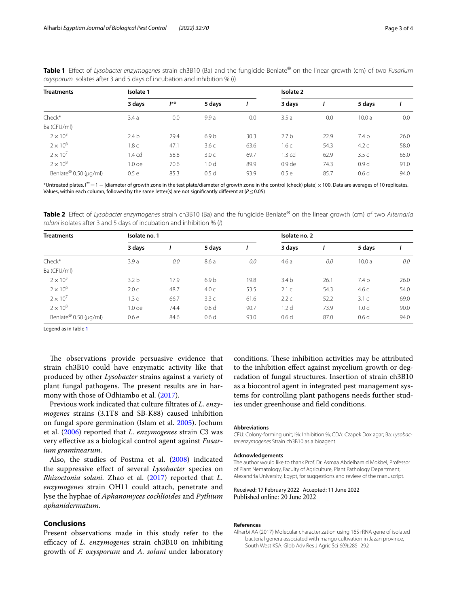<span id="page-2-1"></span>

| Table 1 Effect of Lysobacter enzymogenes strain ch3B10 (Ba) and the fungicide Benlate® on the linear growth (cm) of two Fusarium |  |  |  |  |
|----------------------------------------------------------------------------------------------------------------------------------|--|--|--|--|
| oxysporum isolates after 3 and 5 days of incubation and inhibition % (I)                                                         |  |  |  |  |

| <b>Treatments</b>     | Isolate 1         |          |                  | Isolate 2 |                   |      |                  |      |
|-----------------------|-------------------|----------|------------------|-----------|-------------------|------|------------------|------|
|                       | 3 days            | $J^{**}$ | 5 days           |           | 3 days            |      | 5 days           |      |
| Check*                | 3.4a              | 0.0      | 9.9a             | 0.0       | 3.5a              | 0.0  | 10.0a            | 0.0  |
| Ba (CFU/ml)           |                   |          |                  |           |                   |      |                  |      |
| $2 \times 10^3$       | 2.4 <sub>b</sub>  | 29.4     | 6.9 <sub>b</sub> | 30.3      | 2.7 <sub>b</sub>  | 22.9 | 7.4 <sub>b</sub> | 26.0 |
| $2 \times 10^6$       | 1.8 c             | 47.1     | 3.6c             | 63.6      | 1.6 с             | 54.3 | 4.2c             | 58.0 |
| $2 \times 10^7$       | l.4 cd            | 58.8     | 3.0 <sub>c</sub> | 69.7      | 1.3 <sub>cd</sub> | 62.9 | 3.5c             | 65.0 |
| $2 \times 10^8$       | 1.0 <sub>de</sub> | 70.6     | 1.0 <sub>d</sub> | 89.9      | 0.9 <sub>de</sub> | 74.3 | 0.9 <sub>d</sub> | 91.0 |
| Benlate® 0.50 (µg/ml) | 0.5e              | 85.3     | 0.5d             | 93.9      | 0.5e              | 85.7 | 0.6d             | 94.0 |

\*Untreated plates. I **\*\***=1 − [diameter of growth zone in the test plate/diameter of growth zone in the control (check) plate]×100. Data are averages of 10 replicates. Values, within each column, followed by the same letter(s) are not signifcantly diferent at (*P*≤0.05)

<span id="page-2-2"></span>**Table 2** Efect of *Lysobacter enzymogenes* strain ch3B10 (Ba) and the fungicide Benlate® on the linear growth (cm) of two *Alternaria solani* isolates after 3 and 5 days of incubation and inhibition % (*I*)

| <b>Treatments</b>     | Isolate no. 1     |      |                  |      | Isolate no. 2    |      |                  |      |  |
|-----------------------|-------------------|------|------------------|------|------------------|------|------------------|------|--|
|                       | 3 days            |      | 5 days           |      | 3 days           |      | 5 days           |      |  |
| Check*                | 3.9a              | 0.0  | 8.6a             | 0.0  | 4.6a             | 0.0  | 10.0a            | 0.0  |  |
| Ba (CFU/ml)           |                   |      |                  |      |                  |      |                  |      |  |
| $2 \times 10^3$       | 3.2 <sub>b</sub>  | 17.9 | 6.9 <sub>b</sub> | 19.8 | 3.4 <sub>b</sub> | 26.1 | 7.4 <sub>b</sub> | 26.0 |  |
| $2 \times 10^6$       | 2.0 <sub>c</sub>  | 48.7 | 4.0 <sub>c</sub> | 53.5 | 2.1c             | 54.3 | 4.6c             | 54.0 |  |
| $2 \times 10^7$       | 1.3d              | 66.7 | 3.3c             | 61.6 | 2.2c             | 52.2 | 3.1 <sub>c</sub> | 69.0 |  |
| $2 \times 10^8$       | 1.0 <sub>de</sub> | 74.4 | 0.8 <sub>d</sub> | 90.7 | 1.2 <sub>d</sub> | 73.9 | 1.0 <sub>d</sub> | 90.0 |  |
| Benlate® 0.50 (µg/ml) | 0.6e              | 84.6 | 0.6 <sub>d</sub> | 93.0 | 0.6 <sub>d</sub> | 87.0 | 0.6 <sub>d</sub> | 94.0 |  |

Legend as in Table [1](#page-2-1)

The observations provide persuasive evidence that strain ch3B10 could have enzymatic activity like that produced by other *Lysobacter* strains against a variety of plant fungal pathogens. The present results are in harmony with those of Odhiambo et al. ([2017\)](#page-3-3).

Previous work indicated that culture fltrates of *L. enzymogenes* strains (3.1T8 and SB-K88) caused inhibition on fungal spore germination (Islam et al. [2005](#page-3-14)). Jochum et al. [\(2006\)](#page-3-15) reported that *L. enzymogenes* strain C3 was very efective as a biological control agent against *Fusarium graminearum*.

Also, the studies of Postma et al. [\(2008\)](#page-3-16) indicated the suppressive efect of several *Lysobacter* species on *Rhizoctonia solani.* Zhao et al. ([2017\)](#page-3-17) reported that *L. enzymogenes* strain OH11 could attach, penetrate and lyse the hyphae of *Aphanomyces cochlioides* and *Pythium aphanidermatum*.

### **Conclusions**

Present observations made in this study refer to the efficacy of *L. enzymogenes* strain ch3B10 on inhibiting growth of *F. oxysporum* and *A. solani* under laboratory

conditions. These inhibition activities may be attributed to the inhibition effect against mycelium growth or degradation of fungal structures. Insertion of strain ch3B10 as a biocontrol agent in integrated pest management systems for controlling plant pathogens needs further studies under greenhouse and feld conditions.

#### **Abbreviations**

CFU: Colony-forming unit; I%: Inhibition %; CDA: Czapek Dox agar; Ba: *Lysobacter enzymogenes* Strain ch3B10 as a bioagent.

#### **Acknowledgements**

The author would like to thank Prof. Dr. Asmaa Abdelhamid Mokbel, Professor of Plant Nematology, Faculty of Agriculture, Plant Pathology Department, Alexandria University, Egypt, for suggestions and review of the manuscript.

Received: 17 February 2022 Accepted: 11 June 2022

#### **References**

<span id="page-2-0"></span>Alharbi AA (2017) Molecular characterization using 16S rRNA gene of isolated bacterial genera associated with mango cultivation in Jazan province, South West KSA. Glob Adv Res J Agric Sci 6(9):285–292